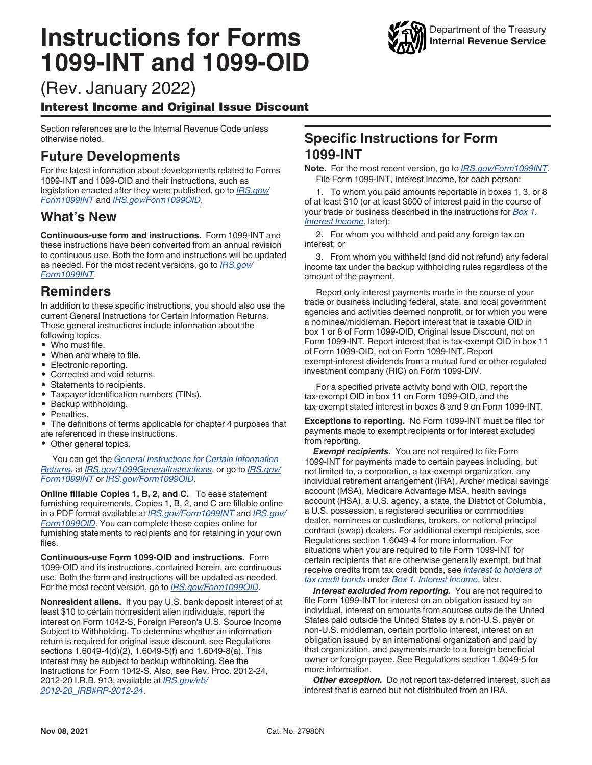# **Instructions for Forms 1099-INT and 1099-OID**



(Rev. January 2022)

# Interest Income and Original Issue Discount

Section references are to the Internal Revenue Code unless otherwise noted.

# **Future Developments**

For the latest information about developments related to Forms 1099-INT and 1099-OID and their instructions, such as legislation enacted after they were published, go to *[IRS.gov/](https://www.irs.gov/form1099int) [Form1099INT](https://www.irs.gov/form1099int)* and *[IRS.gov/Form1099OID](https://www.irs.gov/form1099oid)*.

# **What's New**

**Continuous-use form and instructions.** Form 1099-INT and these instructions have been converted from an annual revision to continuous use. Both the form and instructions will be updated as needed. For the most recent versions, go to *[IRS.gov/](https://www.irs.gov/form1099int) [Form1099INT](https://www.irs.gov/form1099int)*.

# **Reminders**

In addition to these specific instructions, you should also use the current General Instructions for Certain Information Returns. Those general instructions include information about the following topics.

- Who must file.
- When and where to file.
- Electronic reporting.
- Corrected and void returns.
- Statements to recipients.
- Taxpayer identification numbers (TINs).
- Backup withholding.
- Penalties.<br>• The definit

The definitions of terms applicable for chapter 4 purposes that are referenced in these instructions.

• Other general topics.

You can get the *[General Instructions for Certain Information](https://www.irs.gov/forms-pubs/about-form-1099) [Returns](https://www.irs.gov/forms-pubs/about-form-1099)*, at *[IRS.gov/1099GeneralInstructions](https://www.irs.gov/forms-pubs/about-form-1099)*, or go to *[IRS.gov/](https://www.irs.gov/form1099int) [Form1099INT](https://www.irs.gov/form1099int)* or *[IRS.gov/Form1099OID](https://www.irs.gov/form1099oid)*.

**Online fillable Copies 1, B, 2, and C.** To ease statement furnishing requirements, Copies 1, B, 2, and C are fillable online in a PDF format available at *[IRS.gov/Form1099INT](https://www.irs.gov/form1099int)* and *[IRS.gov/](https://www.irs.gov/form1099OID) [Form1099OID](https://www.irs.gov/form1099OID)*. You can complete these copies online for furnishing statements to recipients and for retaining in your own files.

**Continuous-use Form 1099-OID and instructions.** Form 1099-OID and its instructions, contained herein, are continuous use. Both the form and instructions will be updated as needed. For the most recent version, go to *[IRS.gov/Form1099OID](https://irs.gov/form1099OID)*.

**Nonresident aliens.** If you pay U.S. bank deposit interest of at least \$10 to certain nonresident alien individuals, report the interest on Form 1042-S, Foreign Person's U.S. Source Income Subject to Withholding. To determine whether an information return is required for original issue discount, see Regulations sections 1.6049-4(d)(2), 1.6049-5(f) and 1.6049-8(a). This interest may be subject to backup withholding. See the Instructions for Form 1042-S. Also, see Rev. Proc. 2012-24, 2012-20 I.R.B. 913, available at *[IRS.gov/irb/](https://www.irs.gov/irb/2012-20_IRB#RP-2012-24) [2012-20\\_IRB#RP-2012-24](https://www.irs.gov/irb/2012-20_IRB#RP-2012-24)*.

# **Specific Instructions for Form 1099-INT**

**Note.** For the most recent version, go to *[IRS.gov/Form1099INT](https://www.irs.gov/form1099int)*. File Form 1099-INT, Interest Income, for each person:

1. To whom you paid amounts reportable in boxes 1, 3, or 8 of at least \$10 (or at least \$600 of interest paid in the course of your trade or business described in the instructions for *[Box 1.](#page-1-0)  [Interest Income](#page-1-0)*, later);

2. For whom you withheld and paid any foreign tax on interest; or

3. From whom you withheld (and did not refund) any federal income tax under the backup withholding rules regardless of the amount of the payment.

Report only interest payments made in the course of your trade or business including federal, state, and local government agencies and activities deemed nonprofit, or for which you were a nominee/middleman. Report interest that is taxable OID in box 1 or 8 of Form 1099-OID, Original Issue Discount, not on Form 1099-INT. Report interest that is tax-exempt OID in box 11 of Form 1099-OID, not on Form 1099-INT. Report exempt-interest dividends from a mutual fund or other regulated investment company (RIC) on Form 1099-DIV.

For a specified private activity bond with OID, report the tax-exempt OID in box 11 on Form 1099-OID, and the tax-exempt stated interest in boxes 8 and 9 on Form 1099-INT.

**Exceptions to reporting.** No Form 1099-INT must be filed for payments made to exempt recipients or for interest excluded from reporting.

**Exempt recipients.** You are not required to file Form 1099-INT for payments made to certain payees including, but not limited to, a corporation, a tax-exempt organization, any individual retirement arrangement (IRA), Archer medical savings account (MSA), Medicare Advantage MSA, health savings account (HSA), a U.S. agency, a state, the District of Columbia, a U.S. possession, a registered securities or commodities dealer, nominees or custodians, brokers, or notional principal contract (swap) dealers. For additional exempt recipients, see Regulations section 1.6049-4 for more information. For situations when you are required to file Form 1099-INT for certain recipients that are otherwise generally exempt, but that receive credits from tax credit bonds, see *[Interest to holders of](#page-2-0) [tax credit bonds](#page-2-0)* under *[Box 1. Interest Income](#page-1-0)*, later.

*Interest excluded from reporting.* You are not required to file Form 1099-INT for interest on an obligation issued by an individual, interest on amounts from sources outside the United States paid outside the United States by a non-U.S. payer or non-U.S. middleman, certain portfolio interest, interest on an obligation issued by an international organization and paid by that organization, and payments made to a foreign beneficial owner or foreign payee. See Regulations section 1.6049-5 for more information.

**Other exception.** Do not report tax-deferred interest, such as interest that is earned but not distributed from an IRA.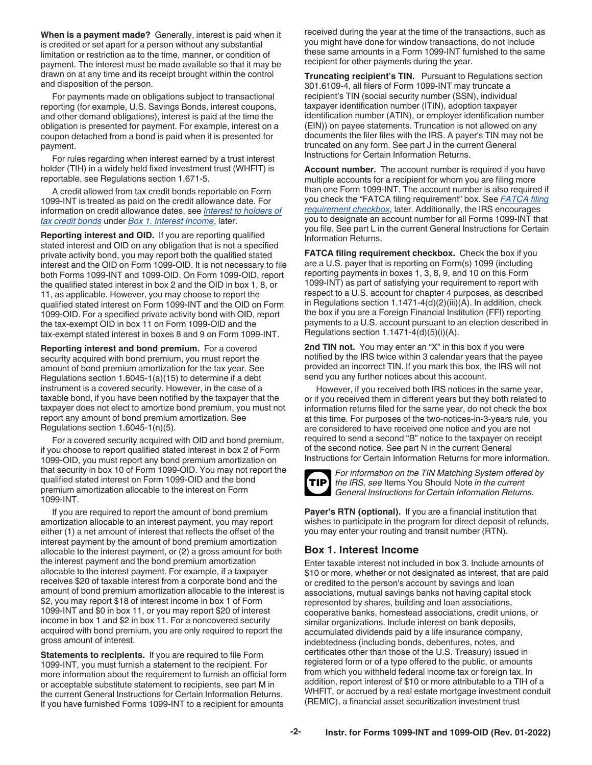<span id="page-1-0"></span>**When is a payment made?** Generally, interest is paid when it is credited or set apart for a person without any substantial limitation or restriction as to the time, manner, or condition of payment. The interest must be made available so that it may be drawn on at any time and its receipt brought within the control and disposition of the person.

For payments made on obligations subject to transactional reporting (for example, U.S. Savings Bonds, interest coupons, and other demand obligations), interest is paid at the time the obligation is presented for payment. For example, interest on a coupon detached from a bond is paid when it is presented for payment.

For rules regarding when interest earned by a trust interest holder (TIH) in a widely held fixed investment trust (WHFIT) is reportable, see Regulations section 1.671-5.

A credit allowed from tax credit bonds reportable on Form 1099-INT is treated as paid on the credit allowance date. For information on credit allowance dates, see *[Interest to holders of](#page-2-0) [tax credit bonds](#page-2-0)* under *Box 1. Interest Income*, later.

**Reporting interest and OID.** If you are reporting qualified stated interest and OID on any obligation that is not a specified private activity bond, you may report both the qualified stated interest and the OID on Form 1099-OID. It is not necessary to file both Forms 1099-INT and 1099-OID. On Form 1099-OID, report the qualified stated interest in box 2 and the OID in box 1, 8, or 11, as applicable. However, you may choose to report the qualified stated interest on Form 1099-INT and the OID on Form 1099-OID. For a specified private activity bond with OID, report the tax-exempt OID in box 11 on Form 1099-OID and the tax-exempt stated interest in boxes 8 and 9 on Form 1099-INT.

**Reporting interest and bond premium.** For a covered security acquired with bond premium, you must report the amount of bond premium amortization for the tax year. See Regulations section 1.6045-1(a)(15) to determine if a debt instrument is a covered security. However, in the case of a taxable bond, if you have been notified by the taxpayer that the taxpayer does not elect to amortize bond premium, you must not report any amount of bond premium amortization. See Regulations section 1.6045-1(n)(5).

For a covered security acquired with OID and bond premium, if you choose to report qualified stated interest in box 2 of Form 1099-OID, you must report any bond premium amortization on that security in box 10 of Form 1099-OID. You may not report the qualified stated interest on Form 1099-OID and the bond premium amortization allocable to the interest on Form 1099-INT.

If you are required to report the amount of bond premium amortization allocable to an interest payment, you may report either (1) a net amount of interest that reflects the offset of the interest payment by the amount of bond premium amortization allocable to the interest payment, or (2) a gross amount for both the interest payment and the bond premium amortization allocable to the interest payment. For example, if a taxpayer receives \$20 of taxable interest from a corporate bond and the amount of bond premium amortization allocable to the interest is \$2, you may report \$18 of interest income in box 1 of Form 1099-INT and \$0 in box 11, or you may report \$20 of interest income in box 1 and \$2 in box 11. For a noncovered security acquired with bond premium, you are only required to report the gross amount of interest.

**Statements to recipients.** If you are required to file Form 1099-INT, you must furnish a statement to the recipient. For more information about the requirement to furnish an official form or acceptable substitute statement to recipients, see part M in the current General Instructions for Certain Information Returns. If you have furnished Forms 1099-INT to a recipient for amounts

received during the year at the time of the transactions, such as you might have done for window transactions, do not include these same amounts in a Form 1099-INT furnished to the same recipient for other payments during the year.

**Truncating recipient's TIN.** Pursuant to Regulations section 301.6109-4, all filers of Form 1099-INT may truncate a recipient's TIN (social security number (SSN), individual taxpayer identification number (ITIN), adoption taxpayer identification number (ATIN), or employer identification number (EIN)) on payee statements. Truncation is not allowed on any documents the filer files with the IRS. A payer's TIN may not be truncated on any form. See part J in the current General Instructions for Certain Information Returns.

**Account number.** The account number is required if you have multiple accounts for a recipient for whom you are filing more than one Form 1099-INT. The account number is also required if you check the "FATCA filing requirement" box. See *FATCA filing requirement checkbox*, later. Additionally, the IRS encourages you to designate an account number for all Forms 1099-INT that you file. See part L in the current General Instructions for Certain Information Returns.

**FATCA filing requirement checkbox.** Check the box if you are a U.S. payer that is reporting on Form(s) 1099 (including reporting payments in boxes 1, 3, 8, 9, and 10 on this Form 1099-INT) as part of satisfying your requirement to report with respect to a U.S. account for chapter 4 purposes, as described in Regulations section 1.1471-4(d)(2)(iii)(A). In addition, check the box if you are a Foreign Financial Institution (FFI) reporting payments to a U.S. account pursuant to an election described in Regulations section 1.1471-4(d)(5)(i)(A).

**2nd TIN not.** You may enter an "X" in this box if you were notified by the IRS twice within 3 calendar years that the payee provided an incorrect TIN. If you mark this box, the IRS will not send you any further notices about this account.

However, if you received both IRS notices in the same year, or if you received them in different years but they both related to information returns filed for the same year, do not check the box at this time. For purposes of the two-notices-in-3-years rule, you are considered to have received one notice and you are not required to send a second "B" notice to the taxpayer on receipt of the second notice. See part N in the current General Instructions for Certain Information Returns for more information.



*For information on the TIN Matching System offered by the IRS, see* Items You Should Note *in the current General Instructions for Certain Information Returns.*

**Payer's RTN (optional).** If you are a financial institution that wishes to participate in the program for direct deposit of refunds, you may enter your routing and transit number (RTN).

#### **Box 1. Interest Income**

Enter taxable interest not included in box 3. Include amounts of \$10 or more, whether or not designated as interest, that are paid or credited to the person's account by savings and loan associations, mutual savings banks not having capital stock represented by shares, building and loan associations, cooperative banks, homestead associations, credit unions, or similar organizations. Include interest on bank deposits, accumulated dividends paid by a life insurance company, indebtedness (including bonds, debentures, notes, and certificates other than those of the U.S. Treasury) issued in registered form or of a type offered to the public, or amounts from which you withheld federal income tax or foreign tax. In addition, report interest of \$10 or more attributable to a TIH of a WHFIT, or accrued by a real estate mortgage investment conduit (REMIC), a financial asset securitization investment trust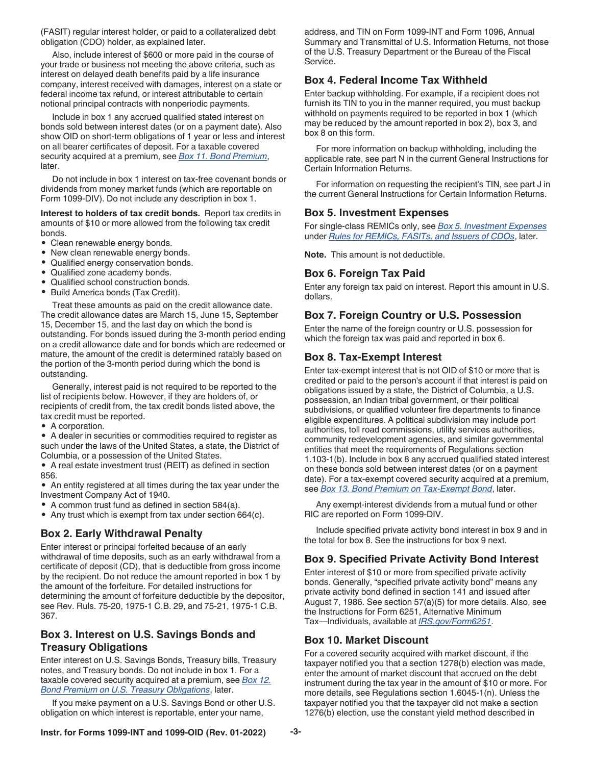<span id="page-2-0"></span>(FASIT) regular interest holder, or paid to a collateralized debt obligation (CDO) holder, as explained later.

Also, include interest of \$600 or more paid in the course of your trade or business not meeting the above criteria, such as interest on delayed death benefits paid by a life insurance company, interest received with damages, interest on a state or federal income tax refund, or interest attributable to certain notional principal contracts with nonperiodic payments.

Include in box 1 any accrued qualified stated interest on bonds sold between interest dates (or on a payment date). Also show OID on short-term obligations of 1 year or less and interest on all bearer certificates of deposit. For a taxable covered security acquired at a premium, see *[Box 11. Bond Premium](#page-3-0)*, later.

Do not include in box 1 interest on tax-free covenant bonds or dividends from money market funds (which are reportable on Form 1099-DIV). Do not include any description in box 1.

#### **Interest to holders of tax credit bonds.** Report tax credits in amounts of \$10 or more allowed from the following tax credit bonds.

- Clean renewable energy bonds.
- New clean renewable energy bonds.
- Qualified energy conservation bonds.
- Qualified zone academy bonds.
- Qualified school construction bonds.
- Build America bonds (Tax Credit).

Treat these amounts as paid on the credit allowance date. The credit allowance dates are March 15, June 15, September 15, December 15, and the last day on which the bond is outstanding. For bonds issued during the 3-month period ending on a credit allowance date and for bonds which are redeemed or mature, the amount of the credit is determined ratably based on the portion of the 3-month period during which the bond is outstanding.

Generally, interest paid is not required to be reported to the list of recipients below. However, if they are holders of, or recipients of credit from, the tax credit bonds listed above, the tax credit must be reported.

• A corporation.

• A dealer in securities or commodities required to register as such under the laws of the United States, a state, the District of Columbia, or a possession of the United States.

• A real estate investment trust (REIT) as defined in section 856.

• An entity registered at all times during the tax year under the Investment Company Act of 1940.

- A common trust fund as defined in section 584(a).
- Any trust which is exempt from tax under section 664(c).

#### **Box 2. Early Withdrawal Penalty**

Enter interest or principal forfeited because of an early withdrawal of time deposits, such as an early withdrawal from a certificate of deposit (CD), that is deductible from gross income by the recipient. Do not reduce the amount reported in box 1 by the amount of the forfeiture. For detailed instructions for determining the amount of forfeiture deductible by the depositor, see Rev. Ruls. 75-20, 1975-1 C.B. 29, and 75-21, 1975-1 C.B. 367.

# **Box 3. Interest on U.S. Savings Bonds and Treasury Obligations**

Enter interest on U.S. Savings Bonds, Treasury bills, Treasury notes, and Treasury bonds. Do not include in box 1. For a taxable covered security acquired at a premium, see *[Box 12.](#page-3-0)  [Bond Premium on U.S. Treasury Obligations](#page-3-0)*, later.

If you make payment on a U.S. Savings Bond or other U.S. obligation on which interest is reportable, enter your name,

address, and TIN on Form 1099-INT and Form 1096, Annual Summary and Transmittal of U.S. Information Returns, not those of the U.S. Treasury Department or the Bureau of the Fiscal Service.

## **Box 4. Federal Income Tax Withheld**

Enter backup withholding. For example, if a recipient does not furnish its TIN to you in the manner required, you must backup withhold on payments required to be reported in box 1 (which may be reduced by the amount reported in box 2), box 3, and box 8 on this form.

For more information on backup withholding, including the applicable rate, see part N in the current General Instructions for Certain Information Returns.

For information on requesting the recipient's TIN, see part J in the current General Instructions for Certain Information Returns.

#### **Box 5. Investment Expenses**

For single-class REMICs only, see *[Box 5. Investment Expenses](#page-3-0)*  under *[Rules for REMICs, FASITs, and Issuers of CDOs](#page-3-0)*, later.

**Note.** This amount is not deductible.

#### **Box 6. Foreign Tax Paid**

Enter any foreign tax paid on interest. Report this amount in U.S. dollars.

# **Box 7. Foreign Country or U.S. Possession**

Enter the name of the foreign country or U.S. possession for which the foreign tax was paid and reported in box 6.

#### **Box 8. Tax-Exempt Interest**

Enter tax-exempt interest that is not OID of \$10 or more that is credited or paid to the person's account if that interest is paid on obligations issued by a state, the District of Columbia, a U.S. possession, an Indian tribal government, or their political subdivisions, or qualified volunteer fire departments to finance eligible expenditures. A political subdivision may include port authorities, toll road commissions, utility services authorities, community redevelopment agencies, and similar governmental entities that meet the requirements of Regulations section 1.103-1(b). Include in box 8 any accrued qualified stated interest on these bonds sold between interest dates (or on a payment date). For a tax-exempt covered security acquired at a premium, see *[Box 13. Bond Premium on Tax-Exempt Bond](#page-3-0)*, later.

Any exempt-interest dividends from a mutual fund or other RIC are reported on Form 1099-DIV.

Include specified private activity bond interest in box 9 and in the total for box 8. See the instructions for box 9 next.

#### **Box 9. Specified Private Activity Bond Interest**

Enter interest of \$10 or more from specified private activity bonds. Generally, "specified private activity bond" means any private activity bond defined in section 141 and issued after August 7, 1986. See section 57(a)(5) for more details. Also, see the Instructions for Form 6251, Alternative Minimum Tax—Individuals, available at *[IRS.gov/Form6251](https://www.irs.gov/form6251)*.

#### **Box 10. Market Discount**

For a covered security acquired with market discount, if the taxpayer notified you that a section 1278(b) election was made, enter the amount of market discount that accrued on the debt instrument during the tax year in the amount of \$10 or more. For more details, see Regulations section 1.6045-1(n). Unless the taxpayer notified you that the taxpayer did not make a section 1276(b) election, use the constant yield method described in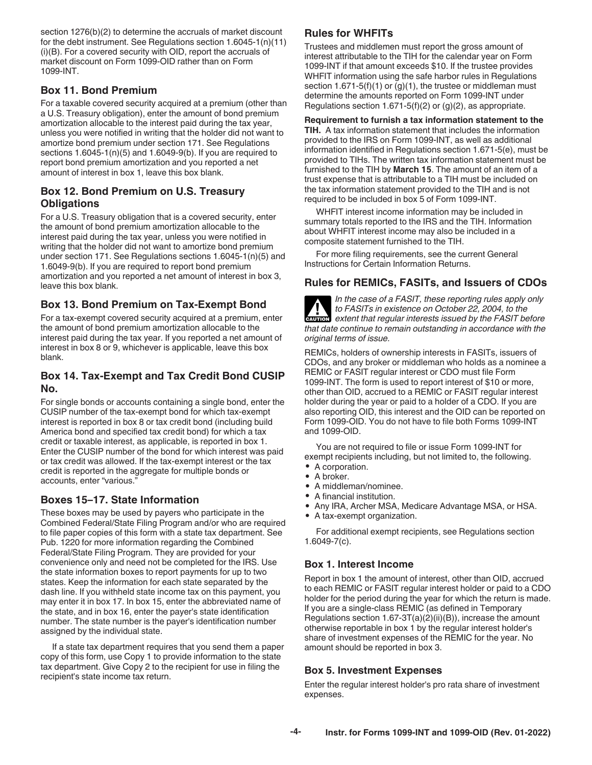<span id="page-3-0"></span>section 1276(b)(2) to determine the accruals of market discount for the debt instrument. See Regulations section 1.6045-1(n)(11) (i)(B). For a covered security with OID, report the accruals of market discount on Form 1099-OID rather than on Form 1099-INT.

# **Box 11. Bond Premium**

For a taxable covered security acquired at a premium (other than a U.S. Treasury obligation), enter the amount of bond premium amortization allocable to the interest paid during the tax year, unless you were notified in writing that the holder did not want to amortize bond premium under section 171. See Regulations sections 1.6045-1(n)(5) and 1.6049-9(b). If you are required to report bond premium amortization and you reported a net amount of interest in box 1, leave this box blank.

# **Box 12. Bond Premium on U.S. Treasury Obligations**

For a U.S. Treasury obligation that is a covered security, enter the amount of bond premium amortization allocable to the interest paid during the tax year, unless you were notified in writing that the holder did not want to amortize bond premium under section 171. See Regulations sections 1.6045-1(n)(5) and 1.6049-9(b). If you are required to report bond premium amortization and you reported a net amount of interest in box 3, leave this box blank.

# **Box 13. Bond Premium on Tax-Exempt Bond**

For a tax-exempt covered security acquired at a premium, enter the amount of bond premium amortization allocable to the interest paid during the tax year. If you reported a net amount of interest in box 8 or 9, whichever is applicable, leave this box blank.

# **Box 14. Tax-Exempt and Tax Credit Bond CUSIP No.**

For single bonds or accounts containing a single bond, enter the CUSIP number of the tax-exempt bond for which tax-exempt interest is reported in box 8 or tax credit bond (including build America bond and specified tax credit bond) for which a tax credit or taxable interest, as applicable, is reported in box 1. Enter the CUSIP number of the bond for which interest was paid or tax credit was allowed. If the tax-exempt interest or the tax credit is reported in the aggregate for multiple bonds or accounts, enter "various."

# **Boxes 15–17. State Information**

These boxes may be used by payers who participate in the Combined Federal/State Filing Program and/or who are required to file paper copies of this form with a state tax department. See Pub. 1220 for more information regarding the Combined Federal/State Filing Program. They are provided for your convenience only and need not be completed for the IRS. Use the state information boxes to report payments for up to two states. Keep the information for each state separated by the dash line. If you withheld state income tax on this payment, you may enter it in box 17. In box 15, enter the abbreviated name of the state, and in box 16, enter the payer's state identification number. The state number is the payer's identification number assigned by the individual state.

If a state tax department requires that you send them a paper copy of this form, use Copy 1 to provide information to the state tax department. Give Copy 2 to the recipient for use in filing the recipient's state income tax return.

# **Rules for WHFITs**

Trustees and middlemen must report the gross amount of interest attributable to the TIH for the calendar year on Form 1099-INT if that amount exceeds \$10. If the trustee provides WHFIT information using the safe harbor rules in Regulations section 1.671-5(f)(1) or  $(g)(1)$ , the trustee or middleman must determine the amounts reported on Form 1099-INT under Regulations section 1.671-5(f)(2) or (g)(2), as appropriate.

**Requirement to furnish a tax information statement to the TIH.** A tax information statement that includes the information provided to the IRS on Form 1099-INT, as well as additional information identified in Regulations section 1.671-5(e), must be provided to TIHs. The written tax information statement must be furnished to the TIH by **March 15**. The amount of an item of a trust expense that is attributable to a TIH must be included on the tax information statement provided to the TIH and is not required to be included in box 5 of Form 1099-INT.

WHFIT interest income information may be included in summary totals reported to the IRS and the TIH. Information about WHFIT interest income may also be included in a composite statement furnished to the TIH.

For more filing requirements, see the current General Instructions for Certain Information Returns.

# **Rules for REMICs, FASITs, and Issuers of CDOs**

*In the case of a FASIT, these reporting rules apply only to FASITs in existence on October 22, 2004, to the extent that regular interests issued by the FASIT before that date continue to remain outstanding in accordance with the original terms of issue.* **ALL**<br>CAUTION

REMICs, holders of ownership interests in FASITs, issuers of CDOs, and any broker or middleman who holds as a nominee a REMIC or FASIT regular interest or CDO must file Form 1099-INT. The form is used to report interest of \$10 or more, other than OID, accrued to a REMIC or FASIT regular interest holder during the year or paid to a holder of a CDO. If you are also reporting OID, this interest and the OID can be reported on Form 1099-OID. You do not have to file both Forms 1099-INT and 1099-OID.

You are not required to file or issue Form 1099-INT for exempt recipients including, but not limited to, the following.

- A corporation.
- A broker.
- A middleman/nominee.
- A financial institution.
- Any IRA, Archer MSA, Medicare Advantage MSA, or HSA.
- A tax-exempt organization.

For additional exempt recipients, see Regulations section 1.6049-7(c).

#### **Box 1. Interest Income**

Report in box 1 the amount of interest, other than OID, accrued to each REMIC or FASIT regular interest holder or paid to a CDO holder for the period during the year for which the return is made. If you are a single-class REMIC (as defined in Temporary Regulations section 1.67-3T(a)(2)(ii)(B)), increase the amount otherwise reportable in box 1 by the regular interest holder's share of investment expenses of the REMIC for the year. No amount should be reported in box 3.

#### **Box 5. Investment Expenses**

Enter the regular interest holder's pro rata share of investment expenses.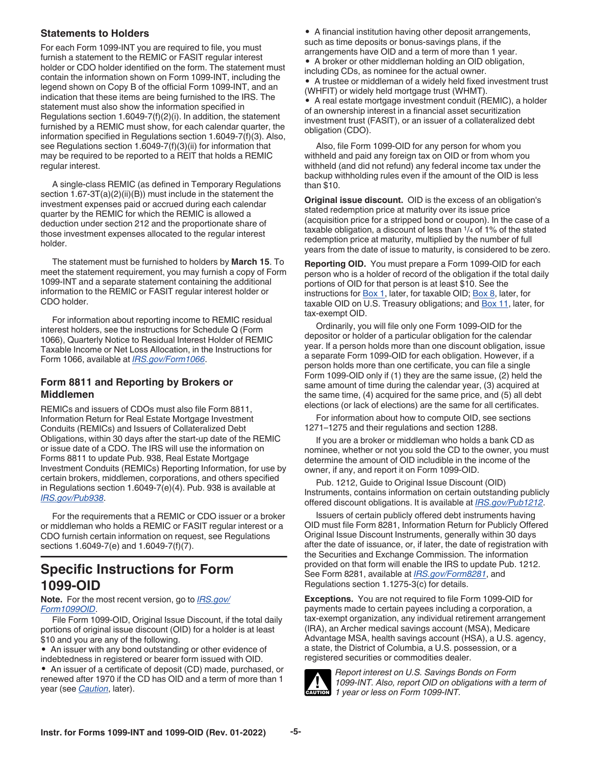#### **Statements to Holders**

For each Form 1099-INT you are required to file, you must furnish a statement to the REMIC or FASIT regular interest holder or CDO holder identified on the form. The statement must contain the information shown on Form 1099-INT, including the legend shown on Copy B of the official Form 1099-INT, and an indication that these items are being furnished to the IRS. The statement must also show the information specified in Regulations section 1.6049-7(f)(2)(i). In addition, the statement furnished by a REMIC must show, for each calendar quarter, the information specified in Regulations section 1.6049-7(f)(3). Also, see Regulations section 1.6049-7(f)(3)(ii) for information that may be required to be reported to a REIT that holds a REMIC regular interest.

A single-class REMIC (as defined in Temporary Regulations section 1.67-3T(a)(2)(ii)(B)) must include in the statement the investment expenses paid or accrued during each calendar quarter by the REMIC for which the REMIC is allowed a deduction under section 212 and the proportionate share of those investment expenses allocated to the regular interest holder.

The statement must be furnished to holders by **March 15**. To meet the statement requirement, you may furnish a copy of Form 1099-INT and a separate statement containing the additional information to the REMIC or FASIT regular interest holder or CDO holder.

For information about reporting income to REMIC residual interest holders, see the instructions for Schedule Q (Form 1066), Quarterly Notice to Residual Interest Holder of REMIC Taxable Income or Net Loss Allocation, in the Instructions for Form 1066, available at *[IRS.gov/Form1066](https://www.irs.gov/form1066)*.

# **Form 8811 and Reporting by Brokers or Middlemen**

REMICs and issuers of CDOs must also file Form 8811, Information Return for Real Estate Mortgage Investment Conduits (REMICs) and Issuers of Collateralized Debt Obligations, within 30 days after the start-up date of the REMIC or issue date of a CDO. The IRS will use the information on Forms 8811 to update Pub. 938, Real Estate Mortgage Investment Conduits (REMICs) Reporting Information, for use by certain brokers, middlemen, corporations, and others specified in Regulations section 1.6049-7(e)(4). Pub. 938 is available at *[IRS.gov/Pub938](https://www.irs.gov/pub938)*.

For the requirements that a REMIC or CDO issuer or a broker or middleman who holds a REMIC or FASIT regular interest or a CDO furnish certain information on request, see Regulations sections 1.6049-7(e) and 1.6049-7(f)(7).

# **Specific Instructions for Form 1099-OID**

**Note.** For the most recent version, go to *[IRS.gov/](https://irs.gov/form1099OID) [Form1099OID](https://irs.gov/form1099OID)*.

File Form 1099-OID, Original Issue Discount, if the total daily portions of original issue discount (OID) for a holder is at least \$10 and you are any of the following.

• An issuer with any bond outstanding or other evidence of indebtedness in registered or bearer form issued with OID. • An issuer of a certificate of deposit (CD) made, purchased, or renewed after 1970 if the CD has OID and a term of more than 1 year (see *Caution*, later).

• A financial institution having other deposit arrangements, such as time deposits or bonus-savings plans, if the arrangements have OID and a term of more than 1 year. • A broker or other middleman holding an OID obligation, including CDs, as nominee for the actual owner.

• A trustee or middleman of a widely held fixed investment trust (WHFIT) or widely held mortgage trust (WHMT).

• A real estate mortgage investment conduit (REMIC), a holder of an ownership interest in a financial asset securitization investment trust (FASIT), or an issuer of a collateralized debt obligation (CDO).

Also, file Form 1099-OID for any person for whom you withheld and paid any foreign tax on OID or from whom you withheld (and did not refund) any federal income tax under the backup withholding rules even if the amount of the OID is less than \$10.

**Original issue discount.** OID is the excess of an obligation's stated redemption price at maturity over its issue price (acquisition price for a stripped bond or coupon). In the case of a taxable obligation, a discount of less than 1/4 of 1% of the stated redemption price at maturity, multiplied by the number of full years from the date of issue to maturity, is considered to be zero.

**Reporting OID.** You must prepare a Form 1099-OID for each person who is a holder of record of the obligation if the total daily portions of OID for that person is at least \$10. See the instructions for [Box 1](#page-5-0), later, for taxable OID; [Box 8,](#page-6-0) later, for taxable OID on U.S. Treasury obligations; and **Box 11**, later, for tax-exempt OID.

Ordinarily, you will file only one Form 1099-OID for the depositor or holder of a particular obligation for the calendar year. If a person holds more than one discount obligation, issue a separate Form 1099-OID for each obligation. However, if a person holds more than one certificate, you can file a single Form 1099-OID only if (1) they are the same issue, (2) held the same amount of time during the calendar year, (3) acquired at the same time, (4) acquired for the same price, and (5) all debt elections (or lack of elections) are the same for all certificates.

For information about how to compute OID, see sections 1271–1275 and their regulations and section 1288.

If you are a broker or middleman who holds a bank CD as nominee, whether or not you sold the CD to the owner, you must determine the amount of OID includible in the income of the owner, if any, and report it on Form 1099-OID.

Pub. 1212, Guide to Original Issue Discount (OID) Instruments, contains information on certain outstanding publicly offered discount obligations. It is available at *[IRS.gov/Pub1212](https://www.irs.gov/pub1212)*.

Issuers of certain publicly offered debt instruments having OID must file Form 8281, Information Return for Publicly Offered Original Issue Discount Instruments, generally within 30 days after the date of issuance, or, if later, the date of registration with the Securities and Exchange Commission. The information provided on that form will enable the IRS to update Pub. 1212. See Form 8281, available at *[IRS.gov/Form8281](https://www.irs.gov/form8281)*, and Regulations section 1.1275-3(c) for details.

**Exceptions.** You are not required to file Form 1099-OID for payments made to certain payees including a corporation, a tax-exempt organization, any individual retirement arrangement (IRA), an Archer medical savings account (MSA), Medicare Advantage MSA, health savings account (HSA), a U.S. agency, a state, the District of Columbia, a U.S. possession, or a registered securities or commodities dealer.



*Report interest on U.S. Savings Bonds on Form 1099-INT. Also, report OID on obligations with a term of 1 year or less on Form 1099-INT.*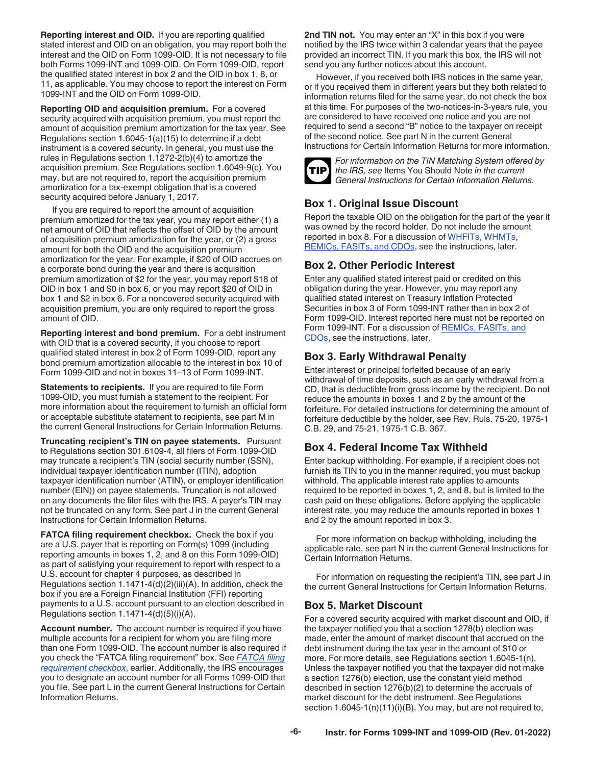<span id="page-5-0"></span>**Reporting interest and OID.** If you are reporting qualified stated interest and OID on an obligation, you may report both the interest and the OID on Form 1099-OID. It is not necessary to file both Forms 1099-INT and 1099-OID. On Form 1099-OID, report the qualified stated interest in box 2 and the OID in box 1, 8, or 11, as applicable. You may choose to report the interest on Form 1099-INT and the OID on Form 1099-OID.

**Reporting OID and acquisition premium.** For a covered security acquired with acquisition premium, you must report the amount of acquisition premium amortization for the tax year. See Regulations section 1.6045-1(a)(15) to determine if a debt instrument is a covered security. In general, you must use the rules in Regulations section 1.1272-2(b)(4) to amortize the acquisition premium. See Regulations section 1.6049-9(c). You may, but are not required to, report the acquisition premium amortization for a tax-exempt obligation that is a covered security acquired before January 1, 2017.

If you are required to report the amount of acquisition premium amortized for the tax year, you may report either (1) a net amount of OID that reflects the offset of OID by the amount of acquisition premium amortization for the year, or (2) a gross amount for both the OID and the acquisition premium amortization for the year. For example, if \$20 of OID accrues on a corporate bond during the year and there is acquisition premium amortization of \$2 for the year, you may report \$18 of OID in box 1 and \$0 in box 6, or you may report \$20 of OID in box 1 and \$2 in box 6. For a noncovered security acquired with acquisition premium, you are only required to report the gross amount of OID.

**Reporting interest and bond premium.** For a debt instrument with OID that is a covered security, if you choose to report qualified stated interest in box 2 of Form 1099-OID, report any bond premium amortization allocable to the interest in box 10 of Form 1099-OID and not in boxes 11–13 of Form 1099-INT.

**Statements to recipients.** If you are required to file Form 1099-OID, you must furnish a statement to the recipient. For more information about the requirement to furnish an official form or acceptable substitute statement to recipients, see part M in the current General Instructions for Certain Information Returns.

**Truncating recipient's TIN on payee statements.** Pursuant to Regulations section 301.6109-4, all filers of Form 1099-OID may truncate a recipient's TIN (social security number (SSN), individual taxpayer identification number (ITIN), adoption taxpayer identification number (ATIN), or employer identification number (EIN)) on payee statements. Truncation is not allowed on any documents the filer files with the IRS. A payer's TIN may not be truncated on any form. See part J in the current General Instructions for Certain Information Returns.

**FATCA filing requirement checkbox.** Check the box if you are a U.S. payer that is reporting on Form(s) 1099 (including reporting amounts in boxes 1, 2, and 8 on this Form 1099-OID) as part of satisfying your requirement to report with respect to a U.S. account for chapter 4 purposes, as described in Regulations section 1.1471-4(d)(2)(iii)(A). In addition, check the box if you are a Foreign Financial Institution (FFI) reporting payments to a U.S. account pursuant to an election described in Regulations section  $1.1471-4(d)(5)(i)(A)$ .

**Account number.** The account number is required if you have multiple accounts for a recipient for whom you are filing more than one Form 1099-OID. The account number is also required if you check the "FATCA filing requirement" box. See *FATCA filing requirement checkbox*, earlier. Additionally, the IRS encourages you to designate an account number for all Forms 1099-OID that you file. See part L in the current General Instructions for Certain Information Returns.

**2nd TIN not.** You may enter an "X" in this box if you were notified by the IRS twice within 3 calendar years that the payee provided an incorrect TIN. If you mark this box, the IRS will not send you any further notices about this account.

However, if you received both IRS notices in the same year, or if you received them in different years but they both related to information returns filed for the same year, do not check the box at this time. For purposes of the two-notices-in-3-years rule, you are considered to have received one notice and you are not required to send a second "B" notice to the taxpayer on receipt of the second notice. See part N in the current General Instructions for Certain Information Returns for more information.



*For information on the TIN Matching System offered by the IRS, see* Items You Should Note *in the current General Instructions for Certain Information Returns.*

# **Box 1. Original Issue Discount**

Report the taxable OID on the obligation for the part of the year it was owned by the record holder. Do not include the amount reported in box 8. For a discussion of [WHFITs, WHMTs](#page-6-0), [REMICs, FASITs, and CDOs](#page-6-0), see the instructions, later.

# **Box 2. Other Periodic Interest**

Enter any qualified stated interest paid or credited on this obligation during the year. However, you may report any qualified stated interest on Treasury Inflation Protected Securities in box 3 of Form 1099-INT rather than in box 2 of Form 1099-OID. Interest reported here must not be reported on Form 1099-INT. For a discussion of [REMICs, FASITs, and](#page-6-0) [CDOs](#page-6-0), see the instructions, later.

# **Box 3. Early Withdrawal Penalty**

Enter interest or principal forfeited because of an early withdrawal of time deposits, such as an early withdrawal from a CD, that is deductible from gross income by the recipient. Do not reduce the amounts in boxes 1 and 2 by the amount of the forfeiture. For detailed instructions for determining the amount of forfeiture deductible by the holder, see Rev. Ruls. 75-20, 1975-1 C.B. 29, and 75-21, 1975-1 C.B. 367.

# **Box 4. Federal Income Tax Withheld**

Enter backup withholding. For example, if a recipient does not furnish its TIN to you in the manner required, you must backup withhold. The applicable interest rate applies to amounts required to be reported in boxes 1, 2, and 8, but is limited to the cash paid on these obligations. Before applying the applicable interest rate, you may reduce the amounts reported in boxes 1 and 2 by the amount reported in box 3.

For more information on backup withholding, including the applicable rate, see part N in the current General Instructions for Certain Information Returns.

For information on requesting the recipient's TIN, see part J in the current General Instructions for Certain Information Returns.

# **Box 5. Market Discount**

For a covered security acquired with market discount and OID, if the taxpayer notified you that a section 1278(b) election was made, enter the amount of market discount that accrued on the debt instrument during the tax year in the amount of \$10 or more. For more details, see Regulations section 1.6045-1(n). Unless the taxpayer notified you that the taxpayer did not make a section 1276(b) election, use the constant yield method described in section 1276(b)(2) to determine the accruals of market discount for the debt instrument. See Regulations section 1.6045-1(n)(11)(i)(B). You may, but are not required to,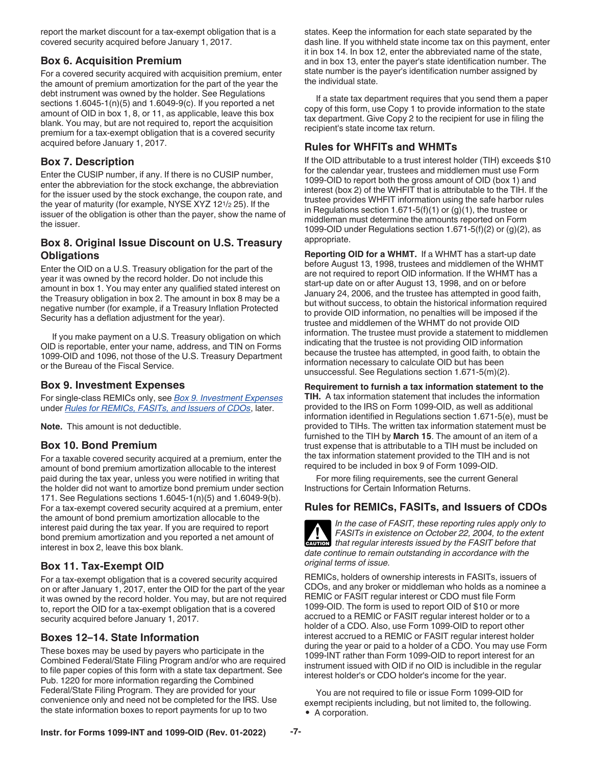<span id="page-6-0"></span>report the market discount for a tax-exempt obligation that is a covered security acquired before January 1, 2017.

## **Box 6. Acquisition Premium**

For a covered security acquired with acquisition premium, enter the amount of premium amortization for the part of the year the debt instrument was owned by the holder. See Regulations sections  $1.6045-1(n)(5)$  and  $1.6049-9(c)$ . If you reported a net amount of OID in box 1, 8, or 11, as applicable, leave this box blank. You may, but are not required to, report the acquisition premium for a tax-exempt obligation that is a covered security acquired before January 1, 2017.

# **Box 7. Description**

Enter the CUSIP number, if any. If there is no CUSIP number, enter the abbreviation for the stock exchange, the abbreviation for the issuer used by the stock exchange, the coupon rate, and the year of maturity (for example, NYSE XYZ 121/2 25). If the issuer of the obligation is other than the payer, show the name of the issuer.

# **Box 8. Original Issue Discount on U.S. Treasury Obligations**

Enter the OID on a U.S. Treasury obligation for the part of the year it was owned by the record holder. Do not include this amount in box 1. You may enter any qualified stated interest on the Treasury obligation in box 2. The amount in box 8 may be a negative number (for example, if a Treasury Inflation Protected Security has a deflation adjustment for the year).

If you make payment on a U.S. Treasury obligation on which OID is reportable, enter your name, address, and TIN on Forms 1099-OID and 1096, not those of the U.S. Treasury Department or the Bureau of the Fiscal Service.

## **Box 9. Investment Expenses**

For single-class REMICs only, see *[Box 9. Investment Expenses](#page-7-0)*  under *Rules for REMICs, FASITs, and Issuers of CDOs*, later.

**Note.** This amount is not deductible.

# **Box 10. Bond Premium**

For a taxable covered security acquired at a premium, enter the amount of bond premium amortization allocable to the interest paid during the tax year, unless you were notified in writing that the holder did not want to amortize bond premium under section 171. See Regulations sections 1.6045-1(n)(5) and 1.6049-9(b). For a tax-exempt covered security acquired at a premium, enter the amount of bond premium amortization allocable to the interest paid during the tax year. If you are required to report bond premium amortization and you reported a net amount of interest in box 2, leave this box blank.

# **Box 11. Tax-Exempt OID**

For a tax-exempt obligation that is a covered security acquired on or after January 1, 2017, enter the OID for the part of the year it was owned by the record holder. You may, but are not required to, report the OID for a tax-exempt obligation that is a covered security acquired before January 1, 2017.

# **Boxes 12–14. State Information**

These boxes may be used by payers who participate in the Combined Federal/State Filing Program and/or who are required to file paper copies of this form with a state tax department. See Pub. 1220 for more information regarding the Combined Federal/State Filing Program. They are provided for your convenience only and need not be completed for the IRS. Use the state information boxes to report payments for up to two

states. Keep the information for each state separated by the dash line. If you withheld state income tax on this payment, enter it in box 14. In box 12, enter the abbreviated name of the state, and in box 13, enter the payer's state identification number. The state number is the payer's identification number assigned by the individual state.

If a state tax department requires that you send them a paper copy of this form, use Copy 1 to provide information to the state tax department. Give Copy 2 to the recipient for use in filing the recipient's state income tax return.

# **Rules for WHFITs and WHMTs**

If the OID attributable to a trust interest holder (TIH) exceeds \$10 for the calendar year, trustees and middlemen must use Form 1099-OID to report both the gross amount of OID (box 1) and interest (box 2) of the WHFIT that is attributable to the TIH. If the trustee provides WHFIT information using the safe harbor rules in Regulations section 1.671-5(f)(1) or  $(g)(1)$ , the trustee or middleman must determine the amounts reported on Form 1099-OID under Regulations section  $1.671 - 5(f)(2)$  or  $(g)(2)$ , as appropriate.

**Reporting OID for a WHMT.** If a WHMT has a start-up date before August 13, 1998, trustees and middlemen of the WHMT are not required to report OID information. If the WHMT has a start-up date on or after August 13, 1998, and on or before January 24, 2006, and the trustee has attempted in good faith, but without success, to obtain the historical information required to provide OID information, no penalties will be imposed if the trustee and middlemen of the WHMT do not provide OID information. The trustee must provide a statement to middlemen indicating that the trustee is not providing OID information because the trustee has attempted, in good faith, to obtain the information necessary to calculate OID but has been unsuccessful. See Regulations section 1.671-5(m)(2).

**Requirement to furnish a tax information statement to the TIH.** A tax information statement that includes the information provided to the IRS on Form 1099-OID, as well as additional information identified in Regulations section 1.671-5(e), must be provided to TIHs. The written tax information statement must be furnished to the TIH by **March 15**. The amount of an item of a trust expense that is attributable to a TIH must be included on the tax information statement provided to the TIH and is not required to be included in box 9 of Form 1099-OID.

For more filing requirements, see the current General Instructions for Certain Information Returns.

# **Rules for REMICs, FASITs, and Issuers of CDOs**

*In the case of FASIT, these reporting rules apply only to FASITs in existence on October 22, 2004, to the extent that regular interests issued by the FASIT before that*  $\frac{1}{2}$  *to the exterion date continue to remain outstanding in accordance with the original terms of issue.*

REMICs, holders of ownership interests in FASITs, issuers of CDOs, and any broker or middleman who holds as a nominee a REMIC or FASIT regular interest or CDO must file Form 1099-OID. The form is used to report OID of \$10 or more accrued to a REMIC or FASIT regular interest holder or to a holder of a CDO. Also, use Form 1099-OID to report other interest accrued to a REMIC or FASIT regular interest holder during the year or paid to a holder of a CDO. You may use Form 1099-INT rather than Form 1099-OID to report interest for an instrument issued with OID if no OID is includible in the regular interest holder's or CDO holder's income for the year.

You are not required to file or issue Form 1099-OID for exempt recipients including, but not limited to, the following. • A corporation.